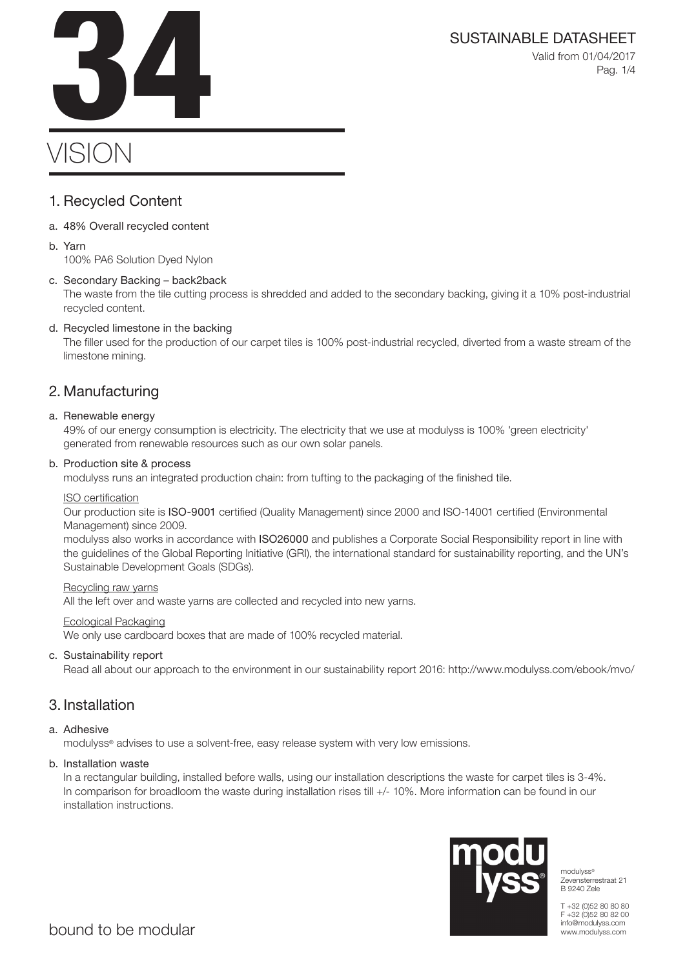Valid from 01/04/2017 Pag. 1/4

# VISION SUSTAINABLE DATASHEET<br>Valid from 01/04/2017<br>Pag. 1/4

## 1. Recycled Content

- a. 48% Overall recycled content
- b. Yarn

100% PA6 Solution Dyed Nylon

## c. Secondary Backing – back2back

The waste from the tile cutting process is shredded and added to the secondary backing, giving it a 10% post-industrial recycled content.

## d. Recycled limestone in the backing

The filler used for the production of our carpet tiles is 100% post-industrial recycled, diverted from a waste stream of the limestone mining.

## 2. Manufacturing

## a. Renewable energy

49% of our energy consumption is electricity. The electricity that we use at modulyss is 100% 'green electricity' generated from renewable resources such as our own solar panels.

## b. Production site & process

modulyss runs an integrated production chain: from tufting to the packaging of the finished tile.

## ISO certification

Our production site is ISO-9001 certified (Quality Management) since 2000 and ISO-14001 certified (Environmental Management) since 2009.

modulyss also works in accordance with ISO26000 and publishes a Corporate Social Responsibility report in line with the guidelines of the Global Reporting Initiative (GRI), the international standard for sustainability reporting, and the UN's Sustainable Development Goals (SDGs).

## Recycling raw yarns

All the left over and waste yarns are collected and recycled into new yarns.

## Ecological Packaging

We only use cardboard boxes that are made of 100% recycled material.

## c. Sustainability report

Read all about our approach to the environment in our sustainability report 2016: http://www.modulyss.com/ebook/mvo/

## 3. Installation

## a. Adhesive

modulyss® advises to use a solvent-free, easy release system with very low emissions.

## b. Installation waste

In a rectangular building, installed before walls, using our installation descriptions the waste for carpet tiles is 3-4%. In comparison for broadloom the waste during installation rises till +/- 10%. More information can be found in our installation instructions.



modulyss® Zevensterrestraat 21 B 9240 Zele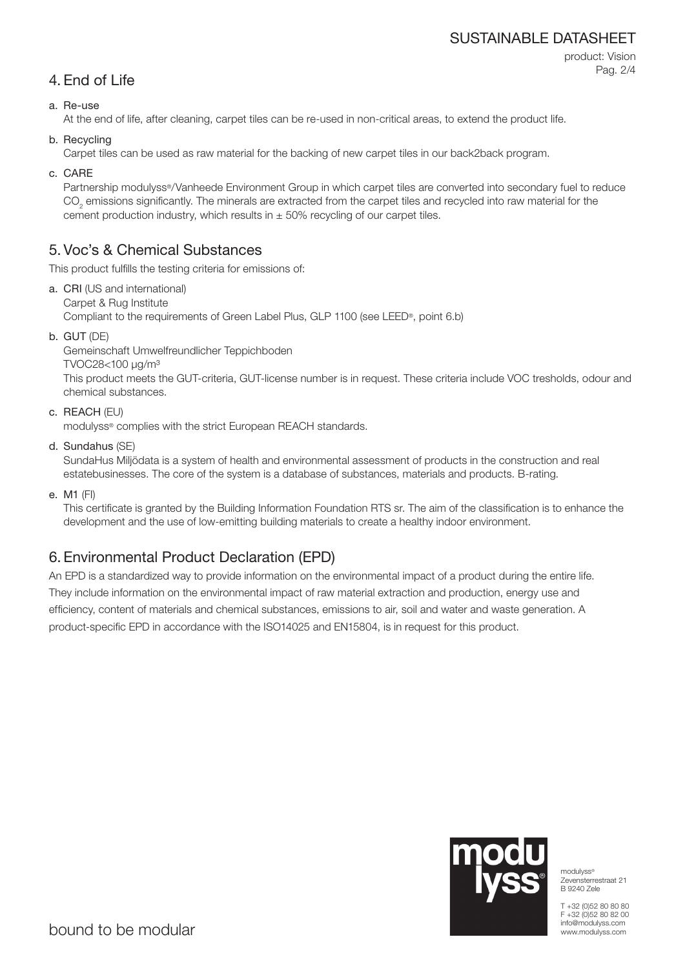## SUSTAINABLE DATASHEET

product: Vision Pag. 2/4

## a. Re-use

At the end of life, after cleaning, carpet tiles can be re-used in non-critical areas, to extend the product life.

b. Recycling

Carpet tiles can be used as raw material for the backing of new carpet tiles in our back2back program.

c. CARE

Partnership modulyss®/Vanheede Environment Group in which carpet tiles are converted into secondary fuel to reduce  $\mathrm{CO}_2$  emissions significantly. The minerals are extracted from the carpet tiles and recycled into raw material for the cement production industry, which results in  $\pm$  50% recycling of our carpet tiles.

## 5. Voc's & Chemical Substances

This product fulfills the testing criteria for emissions of:

- a. CRI (US and international) Carpet & Rug Institute Compliant to the requirements of Green Label Plus, GLP 1100 (see LEED®, point 6.b)
- b. GUT (DE)

Gemeinschaft Umwelfreundlicher Teppichboden

TVOC28<100 μg/m³

This product meets the GUT-criteria, GUT-license number is in request. These criteria include VOC tresholds, odour and chemical substances.

c. REACH (EU)

modulyss® complies with the strict European REACH standards.

d. Sundahus (SE)

SundaHus Miljödata is a system of health and environmental assessment of products in the construction and real estatebusinesses. The core of the system is a database of substances, materials and products. B-rating.

e. M1 (FI)

This certificate is granted by the Building Information Foundation RTS sr. The aim of the classification is to enhance the development and the use of low-emitting building materials to create a healthy indoor environment.

# 6. Environmental Product Declaration (EPD)

An EPD is a standardized way to provide information on the environmental impact of a product during the entire life. They include information on the environmental impact of raw material extraction and production, energy use and efficiency, content of materials and chemical substances, emissions to air, soil and water and waste generation. A product-specific EPD in accordance with the ISO14025 and EN15804, is in request for this product.



modulyss® Zevensterrestraat 21 B 9240 Zele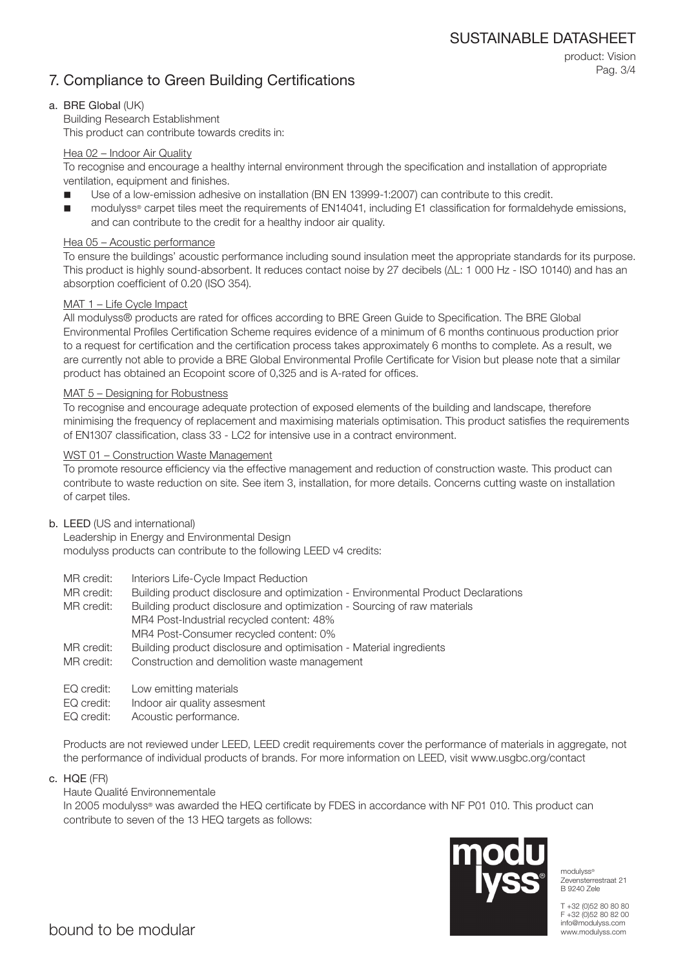## 7. Compliance to Green Building Certifications

product: Vision Pag. 3/4

## a. BRE Global (UK)

Building Research Establishment This product can contribute towards credits in:

## Hea 02 – Indoor Air Quality

To recognise and encourage a healthy internal environment through the specification and installation of appropriate ventilation, equipment and finishes.

- Use of a low-emission adhesive on installation (BN EN 13999-1:2007) can contribute to this credit.
- modulyss® carpet tiles meet the requirements of EN14041, including E1 classification for formaldehyde emissions, and can contribute to the credit for a healthy indoor air quality.

## Hea 05 – Acoustic performance

To ensure the buildings' acoustic performance including sound insulation meet the appropriate standards for its purpose. This product is highly sound-absorbent. It reduces contact noise by 27 decibels (ΔL: 1 000 Hz - ISO 10140) and has an absorption coefficient of 0.20 (ISO 354).

## MAT 1 – Life Cycle Impact

All modulyss® products are rated for offices according to BRE Green Guide to Specification. The BRE Global Environmental Profiles Certification Scheme requires evidence of a minimum of 6 months continuous production prior to a request for certification and the certification process takes approximately 6 months to complete. As a result, we are currently not able to provide a BRE Global Environmental Profile Certificate for Vision but please note that a similar product has obtained an Ecopoint score of 0,325 and is A-rated for offices.

## MAT 5 – Designing for Robustness

To recognise and encourage adequate protection of exposed elements of the building and landscape, therefore minimising the frequency of replacement and maximising materials optimisation. This product satisfies the requirements of EN1307 classification, class 33 - LC2 for intensive use in a contract environment.

## WST 01 – Construction Waste Management

To promote resource efficiency via the effective management and reduction of construction waste. This product can contribute to waste reduction on site. See item 3, installation, for more details. Concerns cutting waste on installation of carpet tiles.

#### b. LEED (US and international)

Leadership in Energy and Environmental Design modulyss products can contribute to the following LEED v4 credits:

- MR credit: Interiors Life-Cycle Impact Reduction
- MR credit: Building product disclosure and optimization Environmental Product Declarations

MR credit: Building product disclosure and optimization - Sourcing of raw materials MR4 Post-Industrial recycled content: 48% MR4 Post-Consumer recycled content: 0%

- MR credit: Building product disclosure and optimisation Material ingredients
- MR credit: Construction and demolition waste management
- EQ credit: Low emitting materials
- EQ credit: Indoor air quality assesment
- EQ credit: Acoustic performance.

Products are not reviewed under LEED, LEED credit requirements cover the performance of materials in aggregate, not the performance of individual products of brands. For more information on LEED, visit www.usgbc.org/contact

c. HQE (FR)

## Haute Qualité Environnementale

In 2005 modulyss® was awarded the HEQ certificate by FDES in accordance with NF P01 010. This product can contribute to seven of the 13 HEQ targets as follows:



modulyss® Zevensterrestraat 21 B 9240 Zele